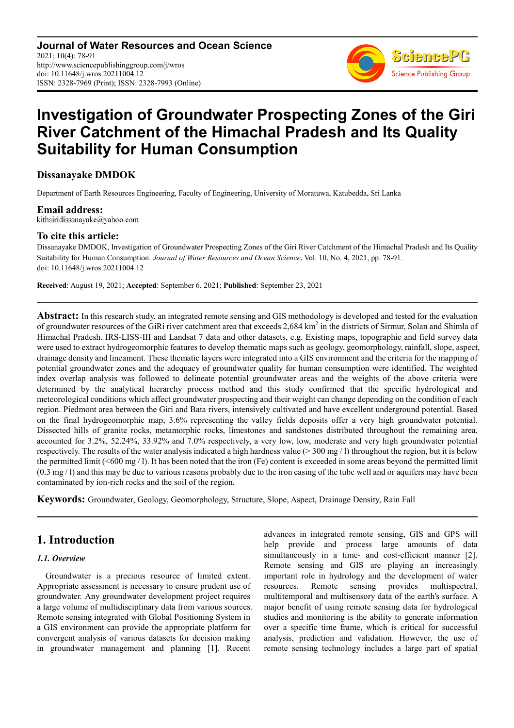**Journal of Water Resources and Ocean Science** 2021; 10(4): 78-91 http://www.sciencepublishinggroup.com/j/wros doi: 10.11648/j.wros.20211004.12 ISSN: 2328-7969 (Print); ISSN: 2328-7993 (Online)



# **Investigation of Groundwater Prospecting Zones of the Giri River Catchment of the Himachal Pradesh and Its Quality Suitability for Human Consumption**

### **Dissanayake DMDOK**

Department of Earth Resources Engineering, Faculty of Engineering, University of Moratuwa, Katubedda, Sri Lanka

**Email address:**<br>kithsiridissanayake@yahoo.com

### **To cite this article:**

Dissanayake DMDOK, Investigation of Groundwater Prospecting Zones of the Giri River Catchment of the Himachal Pradesh and Its Quality Suitability for Human Consumption. *Journal of Water Resources and Ocean Science*, Vol. 10, No. 4, 2021, pp. 78-91. doi: 10.11648/j.wros.20211004.12

**Received**: August 19, 2021; **Accepted**: September 6, 2021; **Published**: September 23, 2021

**Abstract:** In this research study, an integrated remote sensing and GIS methodology is developed and tested for the evaluation of groundwater resources of the GiRi river catchment area that exceeds  $2,684 \text{ km}^2$  in the districts of Sirmur, Solan and Shimla of Himachal Pradesh. IRS-LISS-III and Landsat 7 data and other datasets, e.g. Existing maps, topographic and field survey data were used to extract hydrogeomorphic features to develop thematic maps such as geology, geomorphology, rainfall, slope, aspect, drainage density and lineament. These thematic layers were integrated into a GIS environment and the criteria for the mapping of potential groundwater zones and the adequacy of groundwater quality for human consumption were identified. The weighted index overlap analysis was followed to delineate potential groundwater areas and the weights of the above criteria were determined by the analytical hierarchy process method and this study confirmed that the specific hydrological and meteorological conditions which affect groundwater prospecting and their weight can change depending on the condition of each region. Piedmont area between the Giri and Bata rivers, intensively cultivated and have excellent underground potential. Based on the final hydrogeomorphic map, 3.6% representing the valley fields deposits offer a very high groundwater potential. Dissected hills of granite rocks, metamorphic rocks, limestones and sandstones distributed throughout the remaining area, accounted for 3.2%, 52.24%, 33.92% and 7.0% respectively, a very low, low, moderate and very high groundwater potential respectively. The results of the water analysis indicated a high hardness value ( $>$  300 mg/l) throughout the region, but it is below the permitted limit ( $\leq 600 \text{ mg}/1$ ). It has been noted that the iron (Fe) content is exceeded in some areas beyond the permitted limit  $(0.3 \text{ mg}/1)$  and this may be due to various reasons probably due to the iron casing of the tube well and or aquifers may have been contaminated by ion-rich rocks and the soil of the region.

**Keywords:** Groundwater, Geology, Geomorphology, Structure, Slope, Aspect, Drainage Density, Rain Fall

### **1. Introduction**

### *1.1. Overview*

Groundwater is a precious resource of limited extent. Appropriate assessment is necessary to ensure prudent use of groundwater. Any groundwater development project requires a large volume of multidisciplinary data from various sources. Remote sensing integrated with Global Positioning System in a GIS environment can provide the appropriate platform for convergent analysis of various datasets for decision making in groundwater management and planning [1]. Recent

advances in integrated remote sensing, GIS and GPS will help provide and process large amounts of data simultaneously in a time- and cost-efficient manner [2]. Remote sensing and GIS are playing an increasingly important role in hydrology and the development of water resources. Remote sensing provides multispectral, multitemporal and multisensory data of the earth's surface. A major benefit of using remote sensing data for hydrological studies and monitoring is the ability to generate information over a specific time frame, which is critical for successful analysis, prediction and validation. However, the use of remote sensing technology includes a large part of spatial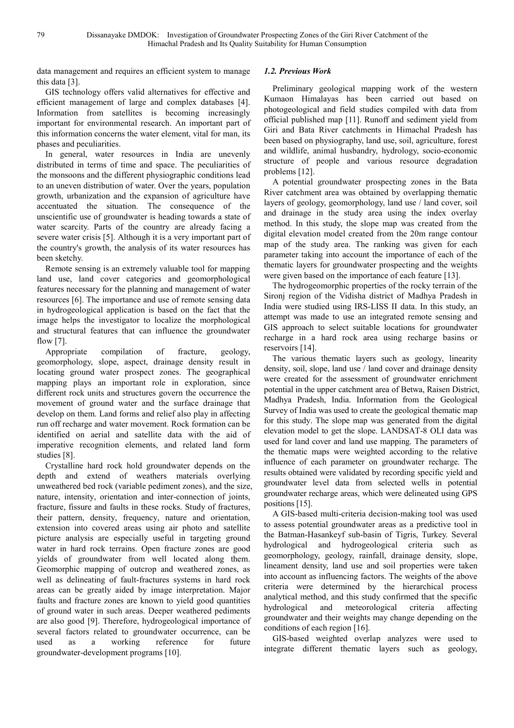data management and requires an efficient system to manage this data [3].

GIS technology offers valid alternatives for effective and efficient management of large and complex databases [4]. Information from satellites is becoming increasingly important for environmental research. An important part of this information concerns the water element, vital for man, its phases and peculiarities.

In general, water resources in India are unevenly distributed in terms of time and space. The peculiarities of the monsoons and the different physiographic conditions lead to an uneven distribution of water. Over the years, population growth, urbanization and the expansion of agriculture have accentuated the situation. The consequence of the unscientific use of groundwater is heading towards a state of water scarcity. Parts of the country are already facing a severe water crisis [5]. Although it is a very important part of the country's growth, the analysis of its water resources has been sketchy.

Remote sensing is an extremely valuable tool for mapping land use, land cover categories and geomorphological features necessary for the planning and management of water resources [6]. The importance and use of remote sensing data in hydrogeological application is based on the fact that the image helps the investigator to localize the morphological and structural features that can influence the groundwater flow [7].

Appropriate compilation of fracture, geology, geomorphology, slope, aspect, drainage density result in locating ground water prospect zones. The geographical mapping plays an important role in exploration, since different rock units and structures govern the occurrence the movement of ground water and the surface drainage that develop on them. Land forms and relief also play in affecting run off recharge and water movement. Rock formation can be identified on aerial and satellite data with the aid of imperative recognition elements, and related land form studies [8].

Crystalline hard rock hold groundwater depends on the depth and extend of weathers materials overlying unweathered bed rock (variable pediment zones), and the size, nature, intensity, orientation and inter-connection of joints, fracture, fissure and faults in these rocks. Study of fractures, their pattern, density, frequency, nature and orientation, extension into covered areas using air photo and satellite picture analysis are especially useful in targeting ground water in hard rock terrains. Open fracture zones are good yields of groundwater from well located along them. Geomorphic mapping of outcrop and weathered zones, as well as delineating of fault-fractures systems in hard rock areas can be greatly aided by image interpretation. Major faults and fracture zones are known to yield good quantities of ground water in such areas. Deeper weathered pediments are also good [9]. Therefore, hydrogeological importance of several factors related to groundwater occurrence, can be used as a working reference for future groundwater-development programs [10].

### *1.2. Previous Work*

Preliminary geological mapping work of the western Kumaon Himalayas has been carried out based on photogeological and field studies compiled with data from official published map [11]. Runoff and sediment yield from Giri and Bata River catchments in Himachal Pradesh has been based on physiography, land use, soil, agriculture, forest and wildlife, animal husbandry, hydrology, socio-economic structure of people and various resource degradation problems [12].

A potential groundwater prospecting zones in the Bata River catchment area was obtained by overlapping thematic layers of geology, geomorphology, land use / land cover, soil and drainage in the study area using the index overlay method. In this study, the slope map was created from the digital elevation model created from the 20m range contour map of the study area. The ranking was given for each parameter taking into account the importance of each of the thematic layers for groundwater prospecting and the weights were given based on the importance of each feature [13].

The hydrogeomorphic properties of the rocky terrain of the Sironj region of the Vidisha district of Madhya Pradesh in India were studied using IRS-LISS II data. In this study, an attempt was made to use an integrated remote sensing and GIS approach to select suitable locations for groundwater recharge in a hard rock area using recharge basins or reservoirs [14].

The various thematic layers such as geology, linearity density, soil, slope, land use / land cover and drainage density were created for the assessment of groundwater enrichment potential in the upper catchment area of Betwa, Raisen District, Madhya Pradesh, India. Information from the Geological Survey of India was used to create the geological thematic map for this study. The slope map was generated from the digital elevation model to get the slope. LANDSAT-8 OLI data was used for land cover and land use mapping. The parameters of the thematic maps were weighted according to the relative influence of each parameter on groundwater recharge. The results obtained were validated by recording specific yield and groundwater level data from selected wells in potential groundwater recharge areas, which were delineated using GPS positions [15].

A GIS-based multi-criteria decision-making tool was used to assess potential groundwater areas as a predictive tool in the Batman-Hasankeyf sub-basin of Tigris, Turkey. Several hydrological and hydrogeological criteria such as geomorphology, geology, rainfall, drainage density, slope, lineament density, land use and soil properties were taken into account as influencing factors. The weights of the above criteria were determined by the hierarchical process analytical method, and this study confirmed that the specific hydrological and meteorological criteria affecting groundwater and their weights may change depending on the conditions of each region [16].

GIS-based weighted overlap analyzes were used to integrate different thematic layers such as geology,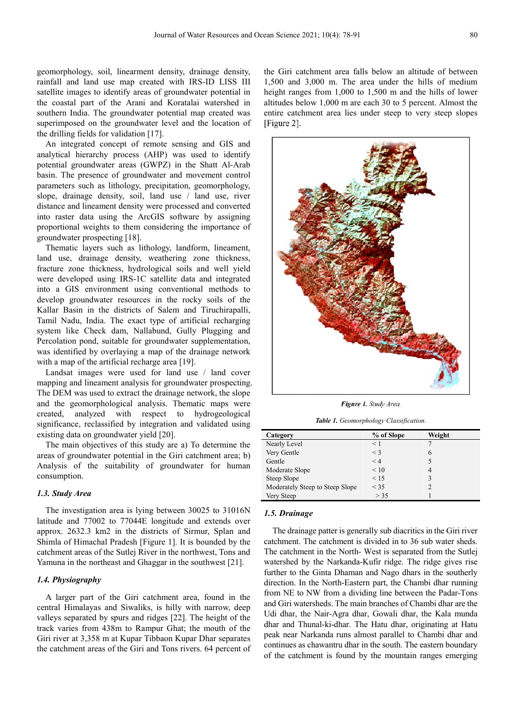geomorphology, soil, linearment density, drainage density, rainfall and land use map created with IRS-ID LISS III satellite images to identify areas of groundwater potential in the coastal part of the Arani and Koratalai watershed in southern India. The groundwater potential map created was superimposed on the groundwater level and the location of the drilling fields for validation [17].

An integrated concept of remote sensing and GIS and analytical hierarchy process (AHP) was used to identify potential groundwater areas (GWPZ) in the Shatt Al-Arab basin. The presence of groundwater and movement control parameters such as lithology, precipitation, geomorphology, slope, drainage density, soil, land use / land use, river distance and lineament density were processed and converted into raster data using the ArcGIS software by assigning proportional weights to them considering the importance of groundwater prospecting [18].

Thematic layers such as lithology, landform, lineament, land use, drainage density, weathering zone thickness, fracture zone thickness, hydrological soils and well yield were developed using IRS-1C satellite data and integrated into a GIS environment using conventional methods to develop groundwater resources in the rocky soils of the Kallar Basin in the districts of Salem and Tiruchirapalli, Tamil Nadu, India. The exact type of artificial recharging system like Check dam, Nallabund, Gully Plugging and Percolation pond, suitable for groundwater supplementation, was identified by overlaying a map of the drainage network with a map of the artificial recharge area [19].

Landsat images were used for land use / land cover mapping and lineament analysis for groundwater prospecting. The DEM was used to extract the drainage network, the slope and the geomorphological analysis. Thematic maps were created, analyzed with respect to hydrogeological significance, reclassified by integration and validated using existing data on groundwater yield [20].

The main objectives of this study are a) To determine the areas of groundwater potential in the Giri catchment area; b) Analysis of the suitability of groundwater for human consumption.

#### *1.3. Study Area*

The investigation area is lying between 30025 to 31016N latitude and 77002 to 77044E longitude and extends over approx. 2632.3 km2 in the districts of Sirmur, Splan and Shimla of Himachal Pradesh [Figure 1]. It is bounded by the catchment areas of the Sutlej River in the northwest, Tons and Yamuna in the northeast and Ghaggar in the southwest [21].

#### *1.4. Physiography*

A larger part of the Giri catchment area, found in the central Himalayas and Siwaliks, is hilly with narrow, deep valleys separated by spurs and ridges [22]. The height of the track varies from 438m to Rampur Ghat; the mouth of the Giri river at 3,358 m at Kupar Tibbaon Kupar Dhar separates the catchment areas of the Giri and Tons rivers. 64 percent of the Giri catchment area falls below an altitude of between 1,500 and 3,000 m. The area under the hills of medium height ranges from 1,000 to 1,500 m and the hills of lower altitudes below 1,000 m are each 30 to 5 percent. Almost the entire catchment area lies under steep to very steep slopes [Figure 2].



*Figure 1. Study Area.* 

*Table 1. Geomorphology Classification.* 

| Category                        | % of Slope | Weight |
|---------------------------------|------------|--------|
| Nearly Level                    | $\leq 1$   |        |
| Very Gentle                     | $<$ 3      | 6      |
| Gentle                          | < 4        |        |
| Moderate Slope                  | $\leq 10$  | 4      |
| Steep Slope                     | < 15       |        |
| Moderately Steep to Steep Slope | $<$ 35     |        |
| Very Steep                      | > 35       |        |

#### *1.5. Drainage*

The drainage patter is generally sub diacritics in the Giri river catchment. The catchment is divided in to 36 sub water sheds. The catchment in the North- West is separated from the Sutlej watershed by the Narkanda-Kufir ridge. The ridge gives rise further to the Ginta Dhaman and Nago dhars in the southerly direction. In the North-Eastern part, the Chambi dhar running from NE to NW from a dividing line between the Padar-Tons and Giri watersheds. The main branches of Chambi dhar are the Udi dhar, the Nair-Agra dhar, Gowali dhar, the Kala munda dhar and Thunal-ki-dhar. The Hatu dhar, originating at Hatu peak near Narkanda runs almost parallel to Chambi dhar and continues as chawantru dhar in the south. The eastern boundary of the catchment is found by the mountain ranges emerging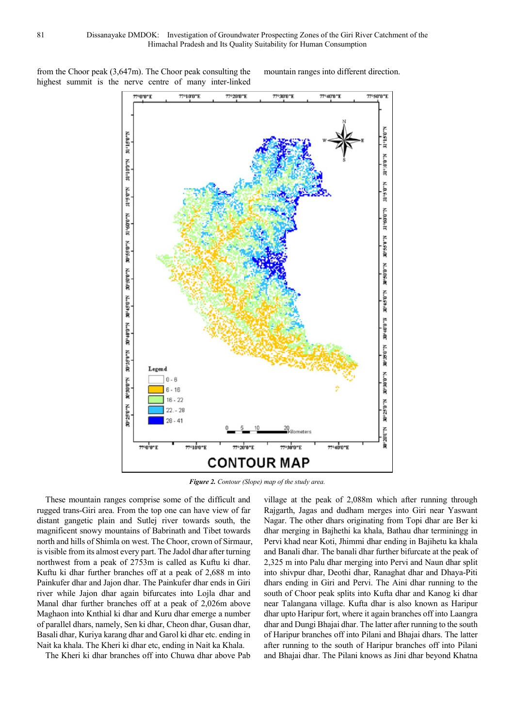from the Choor peak (3,647m). The Choor peak consulting the highest summit is the nerve centre of many inter-linked mountain ranges into different direction.



*Figure 2. Contour (Slope) map of the study area.* 

These mountain ranges comprise some of the difficult and rugged trans-Giri area. From the top one can have view of far distant gangetic plain and Sutlej river towards south, the magnificent snowy mountains of Babrinath and Tibet towards north and hills of Shimla on west. The Choor, crown of Sirmaur, is visible from its almost every part. The Jadol dhar after turning northwest from a peak of 2753m is called as Kuftu ki dhar. Kuftu ki dhar further branches off at a peak of 2,688 m into Painkufer dhar and Jajon dhar. The Painkufer dhar ends in Giri river while Jajon dhar again bifurcates into Lojla dhar and Manal dhar further branches off at a peak of 2,026m above Maghaon into Knthial ki dhar and Kuru dhar emerge a number of parallel dhars, namely, Sen ki dhar, Cheon dhar, Gusan dhar, Basali dhar, Kuriya karang dhar and Garol ki dhar etc. ending in Nait ka khala. The Kheri ki dhar etc, ending in Nait ka Khala.

The Kheri ki dhar branches off into Chuwa dhar above Pab

village at the peak of 2,088m which after running through Rajgarth, Jagas and dudham merges into Giri near Yaswant Nagar. The other dhars originating from Topi dhar are Ber ki dhar merging in Bajhethi ka khala, Bathau dhar terminingg in Pervi khad near Koti, Jhimmi dhar ending in Bajihetu ka khala and Banali dhar. The banali dhar further bifurcate at the peak of 2,325 m into Palu dhar merging into Pervi and Naun dhar split into shivpur dhar, Deothi dhar, Ranaghat dhar and Dhaya-Piti dhars ending in Giri and Pervi. The Aini dhar running to the south of Choor peak splits into Kufta dhar and Kanog ki dhar near Talangana village. Kufta dhar is also known as Haripur dhar upto Haripur fort, where it again branches off into Laangra dhar and Dungi Bhajai dhar. The latter after running to the south of Haripur branches off into Pilani and Bhajai dhars. The latter after running to the south of Haripur branches off into Pilani and Bhajai dhar. The Pilani knows as Jini dhar beyond Khatna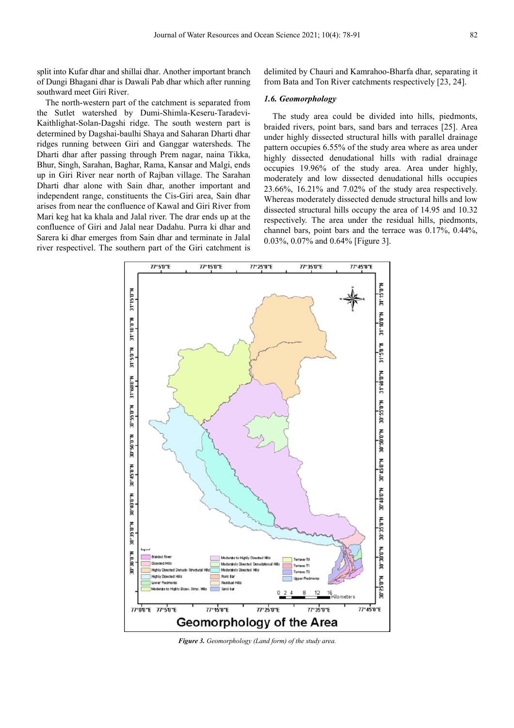split into Kufar dhar and shillai dhar. Another important branch of Dungi Bhagani dhar is Dawali Pab dhar which after running southward meet Giri River.

The north-western part of the catchment is separated from the Sutlet watershed by Dumi-Shimla-Keseru-Taradevi-Kaithlighat-Solan-Dagshi ridge. The south western part is determined by Dagshai-baulhi Shaya and Saharan Dharti dhar ridges running between Giri and Ganggar watersheds. The Dharti dhar after passing through Prem nagar, naina Tikka, Bhur, Singh, Sarahan, Baghar, Rama, Kansar and Malgi, ends up in Giri River near north of Rajban village. The Sarahan Dharti dhar alone with Sain dhar, another important and independent range, constituents the Cis-Giri area, Sain dhar arises from near the confluence of Kawal and Giri River from Mari keg hat ka khala and Jalal river. The drar ends up at the confluence of Giri and Jalal near Dadahu. Purra ki dhar and Sarera ki dhar emerges from Sain dhar and terminate in Jalal river respectivel. The southern part of the Giri catchment is

delimited by Chauri and Kamrahoo-Bharfa dhar, separating it from Bata and Ton River catchments respectively [23, 24].

### *1.6. Geomorphology*

The study area could be divided into hills, piedmonts, braided rivers, point bars, sand bars and terraces [25]. Area under highly dissected structural hills with parallel drainage pattern occupies 6.55% of the study area where as area under highly dissected denudational hills with radial drainage occupies 19.96% of the study area. Area under highly, moderately and low dissected denudational hills occupies 23.66%, 16.21% and 7.02% of the study area respectively. Whereas moderately dissected denude structural hills and low dissected structural hills occupy the area of 14.95 and 10.32 respectively. The area under the residual hills, piedmonts, channel bars, point bars and the terrace was 0.17%, 0.44%, 0.03%, 0.07% and 0.64% [Figure 3].



*Figure 3. Geomorphology (Land form) of the study area.*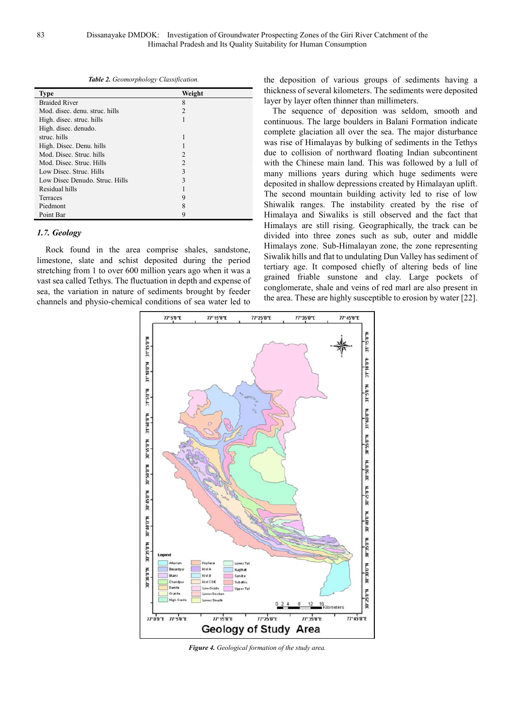*Table 2. Geomorphology Classification.* 

| <b>Type</b>                    | Weight         |
|--------------------------------|----------------|
| <b>Braided River</b>           | 8              |
| Mod. disec. denu. struc. hills | 2              |
| High. disec. struc. hills      |                |
| High. disec. denudo.           |                |
| struc. hills                   | 1              |
| High. Disec. Denu. hills       |                |
| Mod. Disec. Struc. hills       | 2              |
| Mod. Disec. Struc. Hills       | $\mathfrak{D}$ |
| Low Disec. Struc. Hills        | 3              |
| Low Disec Denudo. Struc. Hills | 3              |
| Residual hills                 |                |
| Terraces                       | 9              |
| Piedmont                       | 8              |
| Point Bar                      | 9              |

### *1.7. Geology*

Rock found in the area comprise shales, sandstone, limestone, slate and schist deposited during the period stretching from 1 to over 600 million years ago when it was a vast sea called Tethys. The fluctuation in depth and expense of sea, the variation in nature of sediments brought by feeder channels and physio-chemical conditions of sea water led to

the deposition of various groups of sediments having a thickness of several kilometers. The sediments were deposited layer by layer often thinner than millimeters.

The sequence of deposition was seldom, smooth and continuous. The large boulders in Balani Formation indicate complete glaciation all over the sea. The major disturbance was rise of Himalayas by bulking of sediments in the Tethys due to collision of northward floating Indian subcontinent with the Chinese main land. This was followed by a lull of many millions years during which huge sediments were deposited in shallow depressions created by Himalayan uplift. The second mountain building activity led to rise of low Shiwalik ranges. The instability created by the rise of Himalaya and Siwaliks is still observed and the fact that Himalays are still rising. Geographically, the track can be divided into three zones such as sub, outer and middle Himalays zone. Sub-Himalayan zone, the zone representing Siwalik hills and flat to undulating Dun Valley has sediment of tertiary age. It composed chiefly of altering beds of line grained friable sunstone and clay. Large pockets of conglomerate, shale and veins of red marl are also present in the area. These are highly susceptible to erosion by water [22].



*Figure 4. Geological formation of the study area.*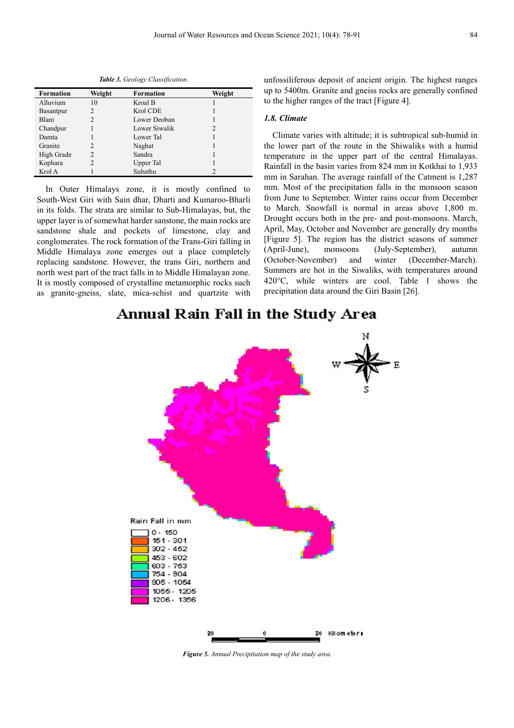| <b>Formation</b> | Weight         | <b>Formation</b> | Weight         |
|------------------|----------------|------------------|----------------|
|                  |                |                  |                |
| Alluvium         | 10             | Kroal B          |                |
| <b>Basantpur</b> | 2              | Krol CDE         |                |
| Blani            | 2              | Lower Deoban     |                |
| Chandpur         |                | Lower Siwalik    | $\overline{c}$ |
| Damta            |                | Lower Tal        |                |
| Granite          | 2              | Naghat           |                |
| High Grade       | $\overline{c}$ | Sandra           |                |
| Kophara          |                | Upper Tal        |                |
| Krol A           |                | Subathu          | $\mathfrak{D}$ |

*Table 3. Geology Classification.* 

In Outer Himalays zone, it is mostly confined to South-West Giri with Sain dhar, Dharti and Kumaroo-Bharli in its folds. The strata are similar to Sub-Himalayas, but, the upper layer is of somewhat harder sanstone, the main rocks are sandstone shale and pockets of limestone, clay and conglomerates. The rock formation of the Trans-Giri falling in Middle Himalaya zone emerges out a place completely replacing sandstone. However, the trans Giri, northern and north west part of the tract falls in to Middle Himalayan zone. It is mostly composed of crystalline metamorphic rocks such as granite-gneiss, slate, mica-schist and quartzite with

unfossiliferous deposit of ancient origin. The highest ranges up to 5400m. Granite and gneiss rocks are generally confined to the higher ranges of the tract [Figure 4].

#### *1.8. Climate*

Climate varies with altitude; it is subtropical sub-humid in the lower part of the route in the Shiwaliks with a humid temperature in the upper part of the central Himalayas. Rainfall in the basin varies from 824 mm in Kotkhai to 1,933 mm in Sarahan. The average rainfall of the Catment is 1,287 mm. Most of the precipitation falls in the monsoon season from June to September. Winter rains occur from December to March. Snowfall is normal in areas above 1,800 m. Drought occurs both in the pre- and post-monsoons. March, April, May, October and November are generally dry months [Figure 5]. The region has the district seasons of summer (April-June), monsoons (July-September), autumn (October-November) and winter (December-March). Summers are hot in the Siwaliks, with temperatures around 420°C, while winters are cool. Table 1 shows the precipitation data around the Giri Basin [26].

## Annual Rain Fall in the Study Area



*Figure 5. Annual Precipitation map of the study area.*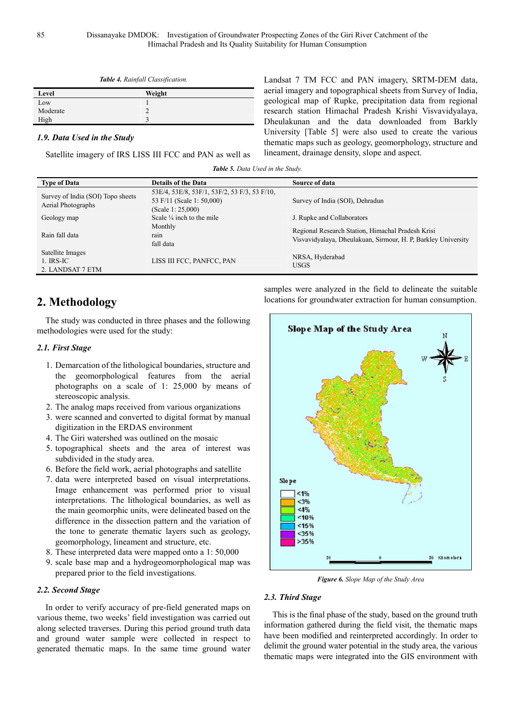|  |  | <b>Table 4.</b> Rainfall Classification. |
|--|--|------------------------------------------|
|--|--|------------------------------------------|

| Level    | Weight |
|----------|--------|
| Low      |        |
| Moderate |        |
| High     |        |

#### *1.9. Data Used in the Study*

Satellite imagery of IRS LISS III FCC and PAN as well as

Landsat 7 TM FCC and PAN imagery, SRTM-DEM data, aerial imagery and topographical sheets from Survey of India, geological map of Rupke, precipitation data from regional research station Himachal Pradesh Krishi Visvavidyalaya, Dheulakunan and the data downloaded from Barkly University [Table 5] were also used to create the various thematic maps such as geology, geomorphology, structure and lineament, drainage density, slope and aspect.

Himachal Pradesh and Its Quality Suitability for Human Consumption

| <b>Type of Data</b>                                     | <b>Details of the Data</b>                                                                        | Source of data                                                                                                     |
|---------------------------------------------------------|---------------------------------------------------------------------------------------------------|--------------------------------------------------------------------------------------------------------------------|
| Survey of India (SOI) Topo sheets<br>Aerial Photographs | 53E/4, 53E/8, 53F/1, 53F/2, 53 F/3, 53 F/10,<br>53 F/11 (Scale 1: 50,000)<br>(Scale 1: $25,000$ ) | Survey of India (SOI), Dehradun                                                                                    |
| Geology map                                             | Scale $\frac{1}{4}$ inch to the mile<br>Monthly                                                   | J. Rupke and Collaborators                                                                                         |
| Rain fall data                                          | rain<br>fall data                                                                                 | Regional Research Station, Himachal Pradesh Krisi<br>Visvavidyalaya, Dheulakuan, Sirmour, H. P. Barkley University |
| Satellite Images<br>1. IRS-IC<br>2. LANDSAT 7 ETM       | LISS III FCC, PANFCC, PAN                                                                         | NRSA, Hyderabad<br><b>USGS</b>                                                                                     |

## **2. Methodology**

The study was conducted in three phases and the following methodologies were used for the study:

### *2.1. First Stage*

- 1. Demarcation of the lithological boundaries, structure and the geomorphological features from the aerial photographs on a scale of 1: 25,000 by means of stereoscopic analysis.
- 2. The analog maps received from various organizations
- 3. were scanned and converted to digital format by manual digitization in the ERDAS environment
- 4. The Giri watershed was outlined on the mosaic
- 5. topographical sheets and the area of interest was subdivided in the study area.
- 6. Before the field work, aerial photographs and satellite
- 7. data were interpreted based on visual interpretations. Image enhancement was performed prior to visual interpretations. The lithological boundaries, as well as the main geomorphic units, were delineated based on the difference in the dissection pattern and the variation of the tone to generate thematic layers such as geology, geomorphology, lineament and structure, etc.
- 8. These interpreted data were mapped onto a 1: 50,000
- 9. scale base map and a hydrogeomorphological map was prepared prior to the field investigations.

### *2.2. Second Stage*

In order to verify accuracy of pre-field generated maps on various theme, two weeks' field investigation was carried out along selected traverses. During this period ground truth data and ground water sample were collected in respect to generated thematic maps. In the same time ground water



samples were analyzed in the field to delineate the suitable locations for groundwater extraction for human consumption.

*Figure 6. Slope Map of the Study Area* 

### *2.3. Third Stage*

This is the final phase of the study, based on the ground truth information gathered during the field visit, the thematic maps have been modified and reinterpreted accordingly. In order to delimit the ground water potential in the study area, the various thematic maps were integrated into the GIS environment with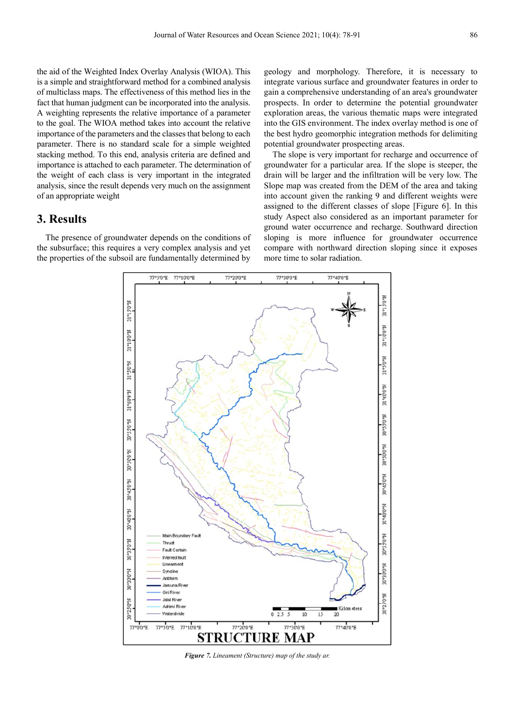the aid of the Weighted Index Overlay Analysis (WIOA). This is a simple and straightforward method for a combined analysis of multiclass maps. The effectiveness of this method lies in the fact that human judgment can be incorporated into the analysis. A weighting represents the relative importance of a parameter to the goal. The WIOA method takes into account the relative importance of the parameters and the classes that belong to each parameter. There is no standard scale for a simple weighted stacking method. To this end, analysis criteria are defined and importance is attached to each parameter. The determination of the weight of each class is very important in the integrated analysis, since the result depends very much on the assignment of an appropriate weight

### **3. Results**

The presence of groundwater depends on the conditions of the subsurface; this requires a very complex analysis and yet the properties of the subsoil are fundamentally determined by

geology and morphology. Therefore, it is necessary to integrate various surface and groundwater features in order to gain a comprehensive understanding of an area's groundwater prospects. In order to determine the potential groundwater exploration areas, the various thematic maps were integrated into the GIS environment. The index overlay method is one of the best hydro geomorphic integration methods for delimiting potential groundwater prospecting areas.

The slope is very important for recharge and occurrence of groundwater for a particular area. If the slope is steeper, the drain will be larger and the infiltration will be very low. The Slope map was created from the DEM of the area and taking into account given the ranking 9 and different weights were assigned to the different classes of slope [Figure 6]. In this study Aspect also considered as an important parameter for ground water occurrence and recharge. Southward direction sloping is more influence for groundwater occurrence compare with northward direction sloping since it exposes more time to solar radiation.



*Figure 7. Lineament (Structure) map of the study ar.*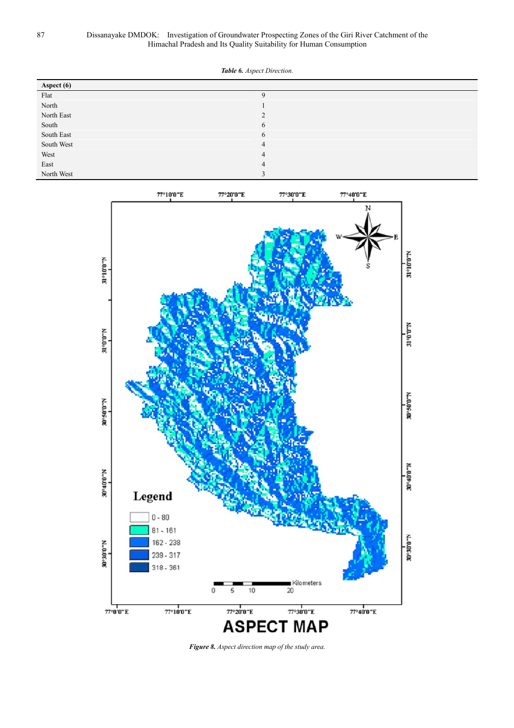*Table 6. Aspect Direction.* 

| Aspect (6) |                |
|------------|----------------|
| Flat       | $\mathbf Q$    |
| North      |                |
| North East | $\mathcal{L}$  |
| South      | 6              |
| South East | 6              |
| South West | $\overline{4}$ |
| West       | $\overline{4}$ |
| East       | $\overline{4}$ |
| North West | $\sim$         |



*Figure 8. Aspect direction map of the study area.*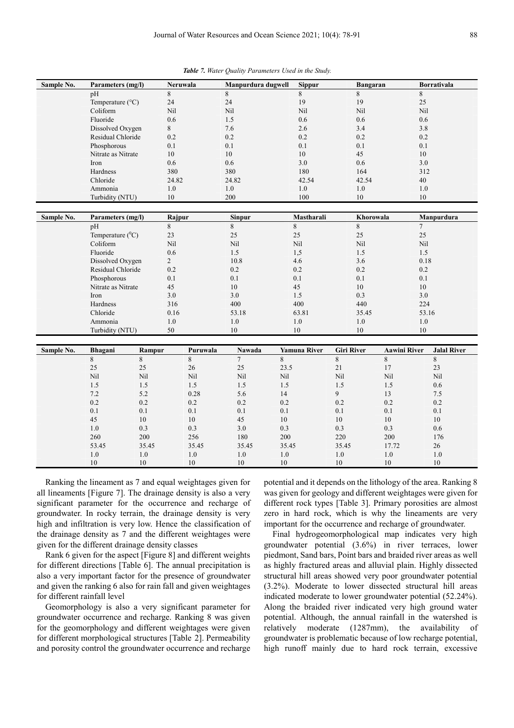*Table 7. Water Quality Parameters Used in the Study.* 

| Sample No. | Parameters (mg/l)                |         | Neruwala               | Manpurdura dugwell | <b>Sippur</b>       | <b>Bangaran</b>   |                     | <b>Borrativala</b>           |  |
|------------|----------------------------------|---------|------------------------|--------------------|---------------------|-------------------|---------------------|------------------------------|--|
|            | pH                               | 8       |                        | 8                  | 8                   | 8                 |                     | 8                            |  |
|            | Temperature (°C)                 |         | 24                     | 24                 | 19                  | 19                |                     | 25                           |  |
|            | Coliform                         |         | Nil                    | Nil                | Nil                 | Nil               |                     | Nil                          |  |
|            | Fluoride                         |         | 0.6                    | 1.5                | 0.6                 | $0.6\,$           |                     | 0.6                          |  |
|            | Dissolved Oxygen                 | 8       |                        | 7.6                | 2.6                 | 3.4               |                     | 3.8                          |  |
|            | Residual Chloride                | 0.2     |                        | 0.2                | 0.2                 | 0.2               |                     | 0.2                          |  |
|            | Phosphorous                      | 0.1     |                        | 0.1                | 0.1                 | 0.1               |                     | 0.1                          |  |
|            | Nitrate as Nitrate               | 10      |                        | 10                 | 10                  | 45                |                     | 10                           |  |
|            | Iron                             | 0.6     |                        | 0.6                | 3.0                 | 0.6               |                     | 3.0                          |  |
|            | Hardness                         | 380     |                        | 380                | 180                 | 164               |                     | 312                          |  |
|            | Chloride                         |         | 24.82                  | 24.82              | 42.54               | 42.54             |                     | 40                           |  |
|            | Ammonia                          | $1.0\,$ |                        | 1.0                | $1.0\,$             | 1.0               |                     | 1.0                          |  |
|            | Turbidity (NTU)                  | 10      |                        | 200                | 100                 | 10                |                     | 10                           |  |
|            |                                  |         |                        |                    |                     |                   |                     |                              |  |
| Sample No. | Parameters (mg/l)                |         | Rajpur                 | Sinpur<br>8        | Mastharali          | Khorowala         |                     | Manpurdura<br>$\overline{7}$ |  |
|            | pH                               | 8       |                        |                    | 8                   | 8                 |                     |                              |  |
|            | Temperature $(^0C)$<br>23<br>Nil |         |                        | 25                 | 25                  | 25                |                     | 25                           |  |
|            | Coliform                         |         |                        | Nil                | Nil                 | Nil               |                     | Nil                          |  |
|            | Fluoride                         |         | 0.6                    | 1.5                | 1,5                 | 1.5               |                     | 1.5                          |  |
|            | Dissolved Oxygen                 |         | $\overline{2}$<br>10.8 |                    | 4.6                 | 3.6               |                     | 0.18                         |  |
|            | Residual Chloride                |         | 0.2<br>0.2             |                    | 0.2                 | 0.2               |                     | 0.2                          |  |
|            | Phosphorous                      |         | 0.1<br>0.1             |                    | 0.1                 | 0.1               |                     | 0.1                          |  |
|            | Nitrate as Nitrate               |         | 45<br>10               |                    | 45                  | 10                |                     | 10                           |  |
|            | Iron                             |         | 3.0                    | 3.0                | 1.5                 | 0.3               |                     | 3.0                          |  |
|            | Hardness                         | 316     |                        | 400                | 400                 | 440               |                     | 224                          |  |
|            | Chloride                         |         | 0.16                   | 53.18              | 63.81               | 35.45             |                     | 53.16                        |  |
|            | Ammonia                          | 1.0     |                        | 1.0                | $1.0\,$             |                   | $1.0\,$             | $1.0\,$                      |  |
|            | Turbidity (NTU)                  | 50      |                        | 10                 | 10                  | 10                |                     | 10                           |  |
| Sample No. | Bhagani                          | Rampur  | Puruwala               | Nawada             | <b>Yamuna River</b> | <b>Giri River</b> | <b>Aawini River</b> | <b>Jalal River</b>           |  |
|            | $\,8\,$                          | 8       | 8                      | $\tau$             | 8                   | $\,8\,$           | 8                   | $\,8\,$                      |  |
|            | 25                               | 25      | 26                     | 25                 | 23.5                | 21                | 17                  | 23                           |  |
|            | Nil                              | Nil     | Nil                    | Nil                | Nil                 | Nil               | Nil                 | Nil                          |  |
|            | 1.5                              | 1.5     | 1.5                    | 1.5                | 1.5                 | 1.5               | 1.5                 | 0.6                          |  |
|            | 7.2                              | 5.2     | 0.28                   | 5.6                | 14                  | 9                 | 13                  | 7.5                          |  |
|            | 0.2                              | 0.2     | 0.2                    | 0.2                | 0.2                 | 0.2               | 0.2                 | 0.2                          |  |
|            | 0.1                              | 0.1     | 0.1                    | 0.1                | 0.1                 | 0.1               | 0.1                 | 0.1                          |  |
|            | 45                               | 10      | 10                     | 45                 | 10                  | 10                | 10                  | 10                           |  |
|            | $1.0$                            | 0.3     | 0.3                    | 3.0                | 0.3                 | 0.3               | 0.3                 | 0.6                          |  |
|            | 260                              | 200     | 256                    | 180                | 200                 | 220               | 200                 | 176                          |  |
|            | 53.45                            | 35.45   | 35.45                  | 35.45              | 35.45               | 35.45             | 17.72               | 26                           |  |
|            | 1.0                              | 1.0     | $1.0$                  | 1.0                | 1.0                 | 1.0               | 1.0                 | 1.0                          |  |
|            | 10                               | 10      | 10                     | 10                 | 10                  | 10                | 10                  | 10                           |  |
|            |                                  |         |                        |                    |                     |                   |                     |                              |  |

Ranking the lineament as 7 and equal weightages given for all lineaments [Figure 7]. The drainage density is also a very significant parameter for the occurrence and recharge of groundwater. In rocky terrain, the drainage density is very high and infiltration is very low. Hence the classification of the drainage density as 7 and the different weightages were given for the different drainage density classes

Rank 6 given for the aspect [Figure 8] and different weights for different directions [Table 6]. The annual precipitation is also a very important factor for the presence of groundwater and given the ranking 6 also for rain fall and given weightages for different rainfall level

Geomorphology is also a very significant parameter for groundwater occurrence and recharge. Ranking 8 was given for the geomorphology and different weightages were given for different morphological structures [Table 2]. Permeability and porosity control the groundwater occurrence and recharge potential and it depends on the lithology of the area. Ranking 8 was given for geology and different weightages were given for different rock types [Table 3]. Primary porosities are almost zero in hard rock, which is why the lineaments are very important for the occurrence and recharge of groundwater.

Final hydrogeomorphological map indicates very high groundwater potential (3.6%) in river terraces, lower piedmont, Sand bars, Point bars and braided river areas as well as highly fractured areas and alluvial plain. Highly dissected structural hill areas showed very poor groundwater potential (3.2%). Moderate to lower dissected structural hill areas indicated moderate to lower groundwater potential (52.24%). Along the braided river indicated very high ground water potential. Although, the annual rainfall in the watershed is relatively moderate (1287mm), the availability of groundwater is problematic because of low recharge potential, high runoff mainly due to hard rock terrain, excessive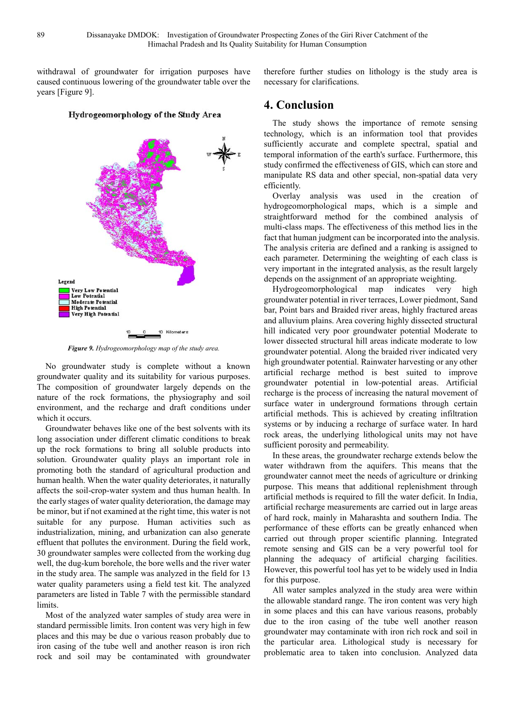withdrawal of groundwater for irrigation purposes have caused continuous lowering of the groundwater table over the years [Figure 9].

#### Hydrogeomorphology of the Study Area



*Figure 9. Hydrogeomorphology map of the study area.* 

No groundwater study is complete without a known groundwater quality and its suitability for various purposes. The composition of groundwater largely depends on the nature of the rock formations, the physiography and soil environment, and the recharge and draft conditions under which it occurs.

Groundwater behaves like one of the best solvents with its long association under different climatic conditions to break up the rock formations to bring all soluble products into solution. Groundwater quality plays an important role in promoting both the standard of agricultural production and human health. When the water quality deteriorates, it naturally affects the soil-crop-water system and thus human health. In the early stages of water quality deterioration, the damage may be minor, but if not examined at the right time, this water is not suitable for any purpose. Human activities such as industrialization, mining, and urbanization can also generate effluent that pollutes the environment. During the field work, 30 groundwater samples were collected from the working dug well, the dug-kum borehole, the bore wells and the river water in the study area. The sample was analyzed in the field for 13 water quality parameters using a field test kit. The analyzed parameters are listed in Table 7 with the permissible standard limits.

Most of the analyzed water samples of study area were in standard permissible limits. Iron content was very high in few places and this may be due o various reason probably due to iron casing of the tube well and another reason is iron rich rock and soil may be contaminated with groundwater

therefore further studies on lithology is the study area is necessary for clarifications.

### **4. Conclusion**

The study shows the importance of remote sensing technology, which is an information tool that provides sufficiently accurate and complete spectral, spatial and temporal information of the earth's surface. Furthermore, this study confirmed the effectiveness of GIS, which can store and manipulate RS data and other special, non-spatial data very efficiently.

Overlay analysis was used in the creation of hydrogeomorphological maps, which is a simple and straightforward method for the combined analysis of multi-class maps. The effectiveness of this method lies in the fact that human judgment can be incorporated into the analysis. The analysis criteria are defined and a ranking is assigned to each parameter. Determining the weighting of each class is very important in the integrated analysis, as the result largely depends on the assignment of an appropriate weighting.

Hydrogeomorphological map indicates very high groundwater potential in river terraces, Lower piedmont, Sand bar, Point bars and Braided river areas, highly fractured areas and alluvium plains. Area covering highly dissected structural hill indicated very poor groundwater potential Moderate to lower dissected structural hill areas indicate moderate to low groundwater potential. Along the braided river indicated very high groundwater potential. Rainwater harvesting or any other artificial recharge method is best suited to improve groundwater potential in low-potential areas. Artificial recharge is the process of increasing the natural movement of surface water in underground formations through certain artificial methods. This is achieved by creating infiltration systems or by inducing a recharge of surface water. In hard rock areas, the underlying lithological units may not have sufficient porosity and permeability.

In these areas, the groundwater recharge extends below the water withdrawn from the aquifers. This means that the groundwater cannot meet the needs of agriculture or drinking purpose. This means that additional replenishment through artificial methods is required to fill the water deficit. In India, artificial recharge measurements are carried out in large areas of hard rock, mainly in Maharashta and southern India. The performance of these efforts can be greatly enhanced when carried out through proper scientific planning. Integrated remote sensing and GIS can be a very powerful tool for planning the adequacy of artificial charging facilities. However, this powerful tool has yet to be widely used in India for this purpose.

All water samples analyzed in the study area were within the allowable standard range. The iron content was very high in some places and this can have various reasons, probably due to the iron casing of the tube well another reason groundwater may contaminate with iron rich rock and soil in the particular area. Lithological study is necessary for problematic area to taken into conclusion. Analyzed data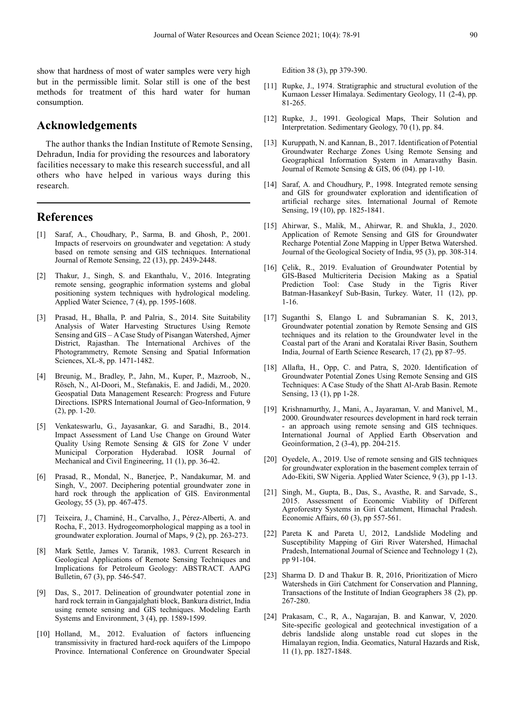show that hardness of most of water samples were very high but in the permissible limit. Solar still is one of the best methods for treatment of this hard water for human consumption.

### **Acknowledgements**

The author thanks the Indian Institute of Remote Sensing, Dehradun, India for providing the resources and laboratory facilities necessary to make this research successful, and all others who have helped in various ways during this research.

### **References**

- Saraf, A., Choudhary, P., Sarma, B. and Ghosh, P., 2001. Impacts of reservoirs on groundwater and vegetation: A study based on remote sensing and GIS techniques. International Journal of Remote Sensing, 22 (13), pp. 2439-2448.
- [2] Thakur, J., Singh, S. and Ekanthalu, V., 2016. Integrating remote sensing, geographic information systems and global positioning system techniques with hydrological modeling. Applied Water Science, 7 (4), pp. 1595-1608.
- [3] Prasad, H., Bhalla, P. and Palria, S., 2014. Site Suitability Analysis of Water Harvesting Structures Using Remote Sensing and GIS – A Case Study of Pisangan Watershed, Ajmer District, Rajasthan. The International Archives of the Photogrammetry, Remote Sensing and Spatial Information Sciences, XL-8, pp. 1471-1482.
- [4] Breunig, M., Bradley, P., Jahn, M., Kuper, P., Mazroob, N., Rösch, N., Al-Doori, M., Stefanakis, E. and Jadidi, M., 2020. Geospatial Data Management Research: Progress and Future Directions. ISPRS International Journal of Geo-Information, 9 (2), pp. 1-20.
- [5] Venkateswarlu, G., Jayasankar, G. and Saradhi, B., 2014. Impact Assessment of Land Use Change on Ground Water Quality Using Remote Sensing & GIS for Zone V under Municipal Corporation Hyderabad. IOSR Journal of Mechanical and Civil Engineering, 11 (1), pp. 36-42.
- [6] Prasad, R., Mondal, N., Banerjee, P., Nandakumar, M. and Singh, V., 2007. Deciphering potential groundwater zone in hard rock through the application of GIS. Environmental Geology, 55 (3), pp. 467-475.
- [7] Teixeira, J., Chaminé, H., Carvalho, J., Pérez-Alberti, A. and Rocha, F., 2013. Hydrogeomorphological mapping as a tool in groundwater exploration. Journal of Maps, 9 (2), pp. 263-273.
- [8] Mark Settle, James V. Taranik, 1983. Current Research in Geological Applications of Remote Sensing Techniques and Implications for Petroleum Geology: ABSTRACT. AAPG Bulletin, 67 (3), pp. 546-547.
- [9] Das, S., 2017. Delineation of groundwater potential zone in hard rock terrain in Gangajalghati block, Bankura district, India using remote sensing and GIS techniques. Modeling Earth Systems and Environment, 3 (4), pp. 1589-1599.
- [10] Holland, M., 2012. Evaluation of factors influencing transmissivity in fractured hard-rock aquifers of the Limpopo Province. International Conference on Groundwater Special

Edition 38 (3), pp 379-390.

- [11] Rupke, J., 1974. Stratigraphic and structural evolution of the Kumaon Lesser Himalaya. Sedimentary Geology, 11 (2-4), pp. 81-265.
- [12] Rupke, J., 1991. Geological Maps, Their Solution and Interpretation. Sedimentary Geology, 70 (1), pp. 84.
- [13] Kuruppath, N. and Kannan, B., 2017. Identification of Potential Groundwater Recharge Zones Using Remote Sensing and Geographical Information System in Amaravathy Basin. Journal of Remote Sensing & GIS, 06 (04). pp 1-10.
- [14] Saraf, A. and Choudhury, P., 1998. Integrated remote sensing and GIS for groundwater exploration and identification of artificial recharge sites. International Journal of Remote Sensing, 19 (10), pp. 1825-1841.
- [15] Ahirwar, S., Malik, M., Ahirwar, R. and Shukla, J., 2020. Application of Remote Sensing and GIS for Groundwater Recharge Potential Zone Mapping in Upper Betwa Watershed. Journal of the Geological Society of India, 95 (3), pp. 308-314.
- [16] Çelik, R., 2019. Evaluation of Groundwater Potential by GIS-Based Multicriteria Decision Making as a Spatial Prediction Tool: Case Study in the Tigris River Batman-Hasankeyf Sub-Basin, Turkey. Water, 11 (12), pp. 1-16.
- [17] Suganthi S, Elango L and Subramanian S. K, 2013, Groundwater potential zonation by Remote Sensing and GIS techniques and its relation to the Groundwater level in the Coastal part of the Arani and Koratalai River Basin, Southern India, Journal of Earth Science Research, 17 (2), pp 87–95.
- [18] Allafta, H., Opp, C. and Patra, S, 2020. Identification of Groundwater Potential Zones Using Remote Sensing and GIS Techniques: A Case Study of the Shatt Al-Arab Basin. Remote Sensing, 13 (1), pp 1-28.
- [19] Krishnamurthy, J., Mani, A., Jayaraman, V. and Manivel, M., 2000. Groundwater resources development in hard rock terrain an approach using remote sensing and GIS techniques. International Journal of Applied Earth Observation and Geoinformation, 2 (3-4), pp. 204-215.
- [20] Oyedele, A., 2019. Use of remote sensing and GIS techniques for groundwater exploration in the basement complex terrain of Ado-Ekiti, SW Nigeria. Applied Water Science, 9 (3), pp 1-13.
- [21] Singh, M., Gupta, B., Das, S., Avasthe, R. and Sarvade, S., 2015. Assessment of Economic Viability of Different Agroforestry Systems in Giri Catchment, Himachal Pradesh. Economic Affairs, 60 (3), pp 557-561.
- [22] Pareta K and Pareta U, 2012, Landslide Modeling and Susceptibility Mapping of Giri River Watershed, Himachal Pradesh, International Journal of Science and Technology 1 (2), pp 91-104.
- [23] Sharma D. D and Thakur B. R, 2016, Prioritization of Micro Watersheds in Giri Catchment for Conservation and Planning, Transactions of the Institute of Indian Geographers 38 (2), pp. 267-280.
- [24] Prakasam, C., R, A., Nagarajan, B. and Kanwar, V, 2020. Site-specific geological and geotechnical investigation of a debris landslide along unstable road cut slopes in the Himalayan region, India. Geomatics, Natural Hazards and Risk, 11 (1), pp. 1827-1848.